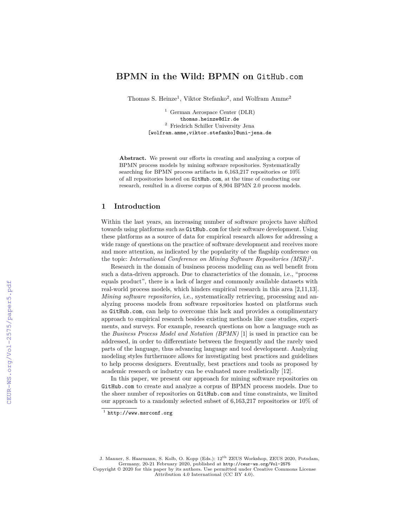# **BPMN in the Wild: BPMN on** GitHub.com

Thomas S. Heinze<sup>1</sup>, Viktor Stefanko<sup>2</sup>, and Wolfram Amme<sup>2</sup>

<sup>1</sup> German Aerospace Center (DLR) thomas.heinze@dlr.de  $^{\rm 2}$  Friedrich Schiller University Jena [wolfram.amme,viktor.stefanko]@uni-jena.de

**Abstract.** We present our efforts in creating and analyzing a corpus of BPMN process models by mining software repositories. Systematically searching for BPMN process artifacts in 6,163,217 repositories or 10% of all repositories hosted on GitHub.com, at the time of conducting our research, resulted in a diverse corpus of 8,904 BPMN 2.0 process models.

### **1 Introduction**

Within the last years, an increasing number of software projects have shifted towards using platforms such as GitHub.com for their software development. Using these platforms as a source of data for empirical research allows for addressing a wide range of questions on the practice of software development and receives more and more attention, as indicated by the popularity of the flagship conference on the topic: *International Conference on Mining Software Repositories (MSR)*<sup>1</sup> .

Research in the domain of business process modeling can as well benefit from such a data-driven approach. Due to characteristics of the domain, i.e., "process equals product", there is a lack of larger and commonly available datasets with real-world process models, which hinders empirical research in this area [2,11,13]. *Mining software repositories*, i.e., systematically retrieving, processing and analyzing process models from software repositories hosted on platforms such as GitHub.com, can help to overcome this lack and provides a complimentary approach to empirical research besides existing methods like case studies, experiments, and surveys. For example, research questions on how a language such as the *Business Process Model and Notation (BPMN)* [1] is used in practice can be addressed, in order to differentiate between the frequently and the rarely used parts of the language, thus advancing language and tool development. Analyzing modeling styles furthermore allows for investigating best practices and guidelines to help process designers. Eventually, best practices and tools as proposed by academic research or industry can be evaluated more realistically [12].

In this paper, we present our approach for mining software repositories on GitHub.com to create and analyze a corpus of BPMN process models. Due to the sheer number of repositories on GitHub.com and time constraints, we limited our approach to a randomly selected subset of 6,163,217 repositories or 10% of

J. Manner, S. Haarmann, S. Kolb, O. Kopp (Eds.): 12th ZEUS Workshop, ZEUS 2020, Potsdam, Germany, 20-21 February 2020, published at <http://ceur-ws.org/Vol-2575>

Copyright © 2020 for this paper by its authors. Use permitted under Creative Commons License Attribution 4.0 International (CC BY 4.0).

 $1$  http://www.msrconf.org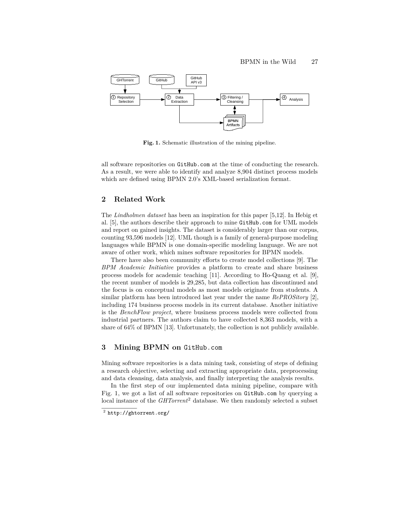

**Fig. 1.** Schematic illustration of the mining pipeline.

all software repositories on GitHub.com at the time of conducting the research. As a result, we were able to identify and analyze 8,904 distinct process models which are defined using BPMN 2.0's XML-based serialization format.

### **2 Related Work**

The *Lindholmen dataset* has been an inspiration for this paper [5,12]. In Hebig et al. [5], the authors describe their approach to mine GitHub.com for UML models and report on gained insights. The dataset is considerably larger than our corpus, counting 93,596 models [12]. UML though is a family of general-purpose modeling languages while BPMN is one domain-specific modeling language. We are not aware of other work, which mines software repositories for BPMN models.

There have also been community efforts to create model collections [9]. The *BPM Academic Initiative* provides a platform to create and share business process models for academic teaching [11]. According to Ho-Quang et al. [9], the recent number of models is 29,285, but data collection has discontinued and the focus is on conceptual models as most models originate from students. A similar platform has been introduced last year under the name *RePROSitory* [2], including 174 business process models in its current database. Another initiative is the *BenchFlow project*, where business process models were collected from industrial partners. The authors claim to have collected 8,363 models, with a share of 64% of BPMN [13]. Unfortunately, the collection is not publicly available.

# **3 Mining BPMN on** GitHub.com

Mining software repositories is a data mining task, consisting of steps of defining a research objective, selecting and extracting appropriate data, preprocessing and data cleansing, data analysis, and finally interpreting the analysis results.

In the first step of our implemented data mining pipeline, compare with Fig. 1, we got a list of all software repositories on GitHub.com by querying a local instance of the *GHTorrent*<sup>2</sup> database. We then randomly selected a subset

 $^2$  http://ghtorrent.org/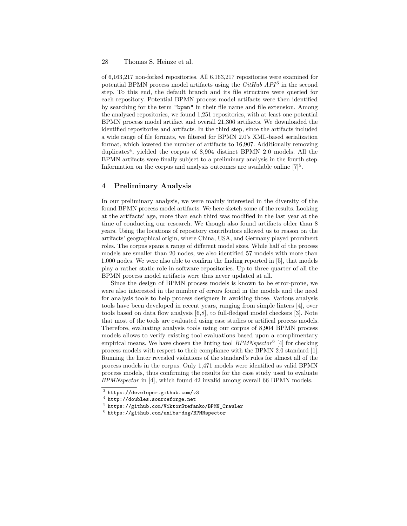#### 28 Thomas S. Heinze et al.

of 6,163,217 non-forked repositories. All 6,163,217 repositories were examined for potential BPMN process model artifacts using the *GitHub API*<sup>3</sup> in the second step. To this end, the default branch and its file structure were queried for each repository. Potential BPMN process model artifacts were then identified by searching for the term "bpmn" in their file name and file extension. Among the analyzed repositories, we found 1,251 repositories, with at least one potential BPMN process model artifact and overall 21,306 artifacts. We downloaded the identified repositories and artifacts. In the third step, since the artifacts included a wide range of file formats, we filtered for BPMN 2.0's XML-based serialization format, which lowered the number of artifacts to 16,907. Additionally removing duplicates<sup>4</sup>, yielded the corpus of 8,904 distinct BPMN 2.0 models. All the BPMN artifacts were finally subject to a preliminary analysis in the fourth step. Information on the corpus and analysis outcomes are available online  $[7]^5$ .

# **4 Preliminary Analysis**

In our preliminary analysis, we were mainly interested in the diversity of the found BPMN process model artifacts. We here sketch some of the results. Looking at the artifacts' age, more than each third was modified in the last year at the time of conducting our research. We though also found artifacts older than 8 years. Using the locations of repository contributors allowed us to reason on the artifacts' geographical origin, where China, USA, and Germany played prominent roles. The corpus spans a range of different model sizes. While half of the process models are smaller than 20 nodes, we also identified 57 models with more than 1,000 nodes. We were also able to confirm the finding reported in [5], that models play a rather static role in software repositories. Up to three quarter of all the BPMN process model artifacts were thus never updated at all.

Since the design of BPMN process models is known to be error-prone, we were also interested in the number of errors found in the models and the need for analysis tools to help process designers in avoiding those. Various analysis tools have been developed in recent years, ranging from simple linters [4], over tools based on data flow analysis [6,8], to full-fledged model checkers [3]. Note that most of the tools are evaluated using case studies or artifical process models. Therefore, evaluating analysis tools using our corpus of 8,904 BPMN process models allows to verify existing tool evaluations based upon a complimentary empirical means. We have chosen the linting tool *BPMNspector*<sup>6</sup> [4] for checking process models with respect to their compliance with the BPMN 2.0 standard [1]. Running the linter revealed violations of the standard's rules for almost all of the process models in the corpus. Only 1,471 models were identified as valid BPMN process models, thus confirming the results for the case study used to evaluate *BPMNspector* in [4], which found 42 invalid among overall 66 BPMN models.

<sup>3</sup> https://developer.github.com/v3

 $^4$  http://doubles.sourceforge.net

<sup>5</sup> https://github.com/ViktorStefanko/BPMN\_Crawler

 $^6$  https://github.com/uniba-dsg/BPMNspector